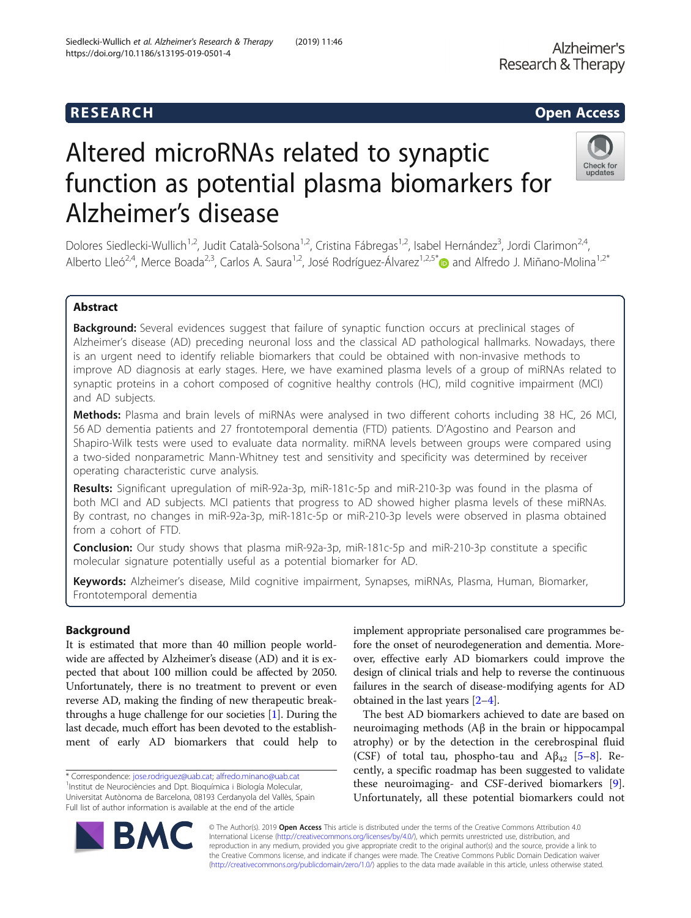# R E S EAR CH Open Access

https://doi.org/10.1186/s13195-019-0501-4

# Altered microRNAs related to synaptic function as potential plasma biomarkers for Alzheimer's disease

Dolores Siedlecki-Wullich<sup>1,2</sup>, Judit Català-Solsona<sup>1,2</sup>, Cristina Fábregas<sup>1,2</sup>, Isabel Hernández<sup>3</sup>, Jordi Clarimon<sup>2,4</sup>, Alberto Lleó<sup>2,4</sup>, Merce Boada<sup>2,3</sup>, Carlos A. Saura<sup>1,2</sup>, José Rodríguez-Álvarez<sup>1,2,5[\\*](http://orcid.org/0000-0001-8582-8082)</sup> and Alfredo J. Miñano-Molina<sup>1,2\*</sup>

# Abstract

Background: Several evidences suggest that failure of synaptic function occurs at preclinical stages of Alzheimer's disease (AD) preceding neuronal loss and the classical AD pathological hallmarks. Nowadays, there is an urgent need to identify reliable biomarkers that could be obtained with non-invasive methods to improve AD diagnosis at early stages. Here, we have examined plasma levels of a group of miRNAs related to synaptic proteins in a cohort composed of cognitive healthy controls (HC), mild cognitive impairment (MCI) and AD subjects.

Methods: Plasma and brain levels of miRNAs were analysed in two different cohorts including 38 HC, 26 MCI, 56 AD dementia patients and 27 frontotemporal dementia (FTD) patients. D'Agostino and Pearson and Shapiro-Wilk tests were used to evaluate data normality. miRNA levels between groups were compared using a two-sided nonparametric Mann-Whitney test and sensitivity and specificity was determined by receiver operating characteristic curve analysis.

Results: Significant upregulation of miR-92a-3p, miR-181c-5p and miR-210-3p was found in the plasma of both MCI and AD subjects. MCI patients that progress to AD showed higher plasma levels of these miRNAs. By contrast, no changes in miR-92a-3p, miR-181c-5p or miR-210-3p levels were observed in plasma obtained from a cohort of FTD.

Conclusion: Our study shows that plasma miR-92a-3p, miR-181c-5p and miR-210-3p constitute a specific molecular signature potentially useful as a potential biomarker for AD.

Keywords: Alzheimer's disease, Mild cognitive impairment, Synapses, miRNAs, Plasma, Human, Biomarker, Frontotemporal dementia

# Background

It is estimated that more than 40 million people worldwide are affected by Alzheimer's disease (AD) and it is expected that about 100 million could be affected by 2050. Unfortunately, there is no treatment to prevent or even reverse AD, making the finding of new therapeutic breakthroughs a huge challenge for our societies [\[1\]](#page-9-0). During the last decade, much effort has been devoted to the establishment of early AD biomarkers that could help to

\* Correspondence: [jose.rodriguez@uab.cat](mailto:jose.rodriguez@uab.cat); [alfredo.minano@uab.cat](mailto:alfredo.minano@uab.cat) <sup>1</sup> <sup>1</sup>Institut de Neurociències and Dpt. Bioquímica i Biología Molecular, Universitat Autònoma de Barcelona, 08193 Cerdanyola del Vallès, Spain Full list of author information is available at the end of the article

implement appropriate personalised care programmes before the onset of neurodegeneration and dementia. Moreover, effective early AD biomarkers could improve the design of clinical trials and help to reverse the continuous failures in the search of disease-modifying agents for AD obtained in the last years [\[2](#page-9-0)–[4](#page-9-0)]. The best AD biomarkers achieved to date are based on

neuroimaging methods (Aβ in the brain or hippocampal atrophy) or by the detection in the cerebrospinal fluid (CSF) of total tau, phospho-tau and  $A\beta_{42}$  [[5](#page-9-0)–[8\]](#page-9-0). Recently, a specific roadmap has been suggested to validate these neuroimaging- and CSF-derived biomarkers [\[9](#page-9-0)]. Unfortunately, all these potential biomarkers could not

© The Author(s). 2019 Open Access This article is distributed under the terms of the Creative Commons Attribution 4.0 International License [\(http://creativecommons.org/licenses/by/4.0/](http://creativecommons.org/licenses/by/4.0/)), which permits unrestricted use, distribution, and reproduction in any medium, provided you give appropriate credit to the original author(s) and the source, provide a link to the Creative Commons license, and indicate if changes were made. The Creative Commons Public Domain Dedication waiver [\(http://creativecommons.org/publicdomain/zero/1.0/](http://creativecommons.org/publicdomain/zero/1.0/)) applies to the data made available in this article, unless otherwise stated.

Siedlecki-Wullich et al. Alzheimer's Research & Therapy (2019) 11:46





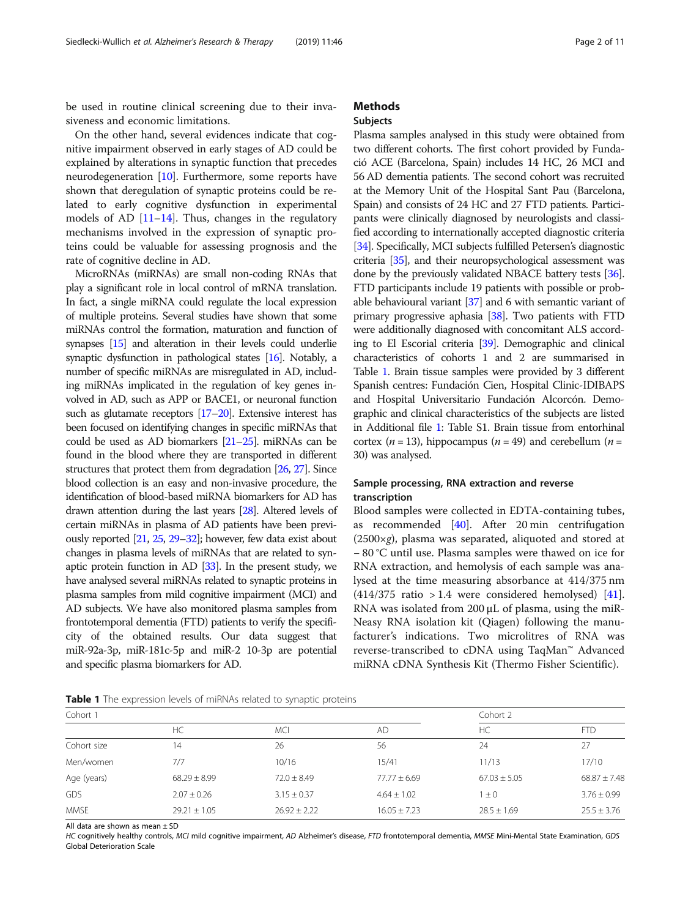<span id="page-1-0"></span>be used in routine clinical screening due to their invasiveness and economic limitations.

On the other hand, several evidences indicate that cognitive impairment observed in early stages of AD could be explained by alterations in synaptic function that precedes neurodegeneration [\[10\]](#page-9-0). Furthermore, some reports have shown that deregulation of synaptic proteins could be related to early cognitive dysfunction in experimental models of AD [\[11](#page-9-0)–[14](#page-9-0)]. Thus, changes in the regulatory mechanisms involved in the expression of synaptic proteins could be valuable for assessing prognosis and the rate of cognitive decline in AD.

MicroRNAs (miRNAs) are small non-coding RNAs that play a significant role in local control of mRNA translation. In fact, a single miRNA could regulate the local expression of multiple proteins. Several studies have shown that some miRNAs control the formation, maturation and function of synapses [\[15](#page-9-0)] and alteration in their levels could underlie synaptic dysfunction in pathological states [\[16\]](#page-9-0). Notably, a number of specific miRNAs are misregulated in AD, including miRNAs implicated in the regulation of key genes involved in AD, such as APP or BACE1, or neuronal function such as glutamate receptors [\[17](#page-9-0)–[20](#page-9-0)]. Extensive interest has been focused on identifying changes in specific miRNAs that could be used as AD biomarkers [\[21](#page-9-0)–[25](#page-9-0)]. miRNAs can be found in the blood where they are transported in different structures that protect them from degradation [\[26,](#page-9-0) [27](#page-9-0)]. Since blood collection is an easy and non-invasive procedure, the identification of blood-based miRNA biomarkers for AD has drawn attention during the last years [\[28](#page-9-0)]. Altered levels of certain miRNAs in plasma of AD patients have been previously reported [[21,](#page-9-0) [25,](#page-9-0) [29](#page-9-0)–[32\]](#page-9-0); however, few data exist about changes in plasma levels of miRNAs that are related to synaptic protein function in AD [[33\]](#page-9-0). In the present study, we have analysed several miRNAs related to synaptic proteins in plasma samples from mild cognitive impairment (MCI) and AD subjects. We have also monitored plasma samples from frontotemporal dementia (FTD) patients to verify the specificity of the obtained results. Our data suggest that miR-92a-3p, miR-181c-5p and miR-2 10-3p are potential and specific plasma biomarkers for AD.

# **Methods**

## Subjects

Plasma samples analysed in this study were obtained from two different cohorts. The first cohort provided by Fundació ACE (Barcelona, Spain) includes 14 HC, 26 MCI and 56 AD dementia patients. The second cohort was recruited at the Memory Unit of the Hospital Sant Pau (Barcelona, Spain) and consists of 24 HC and 27 FTD patients. Participants were clinically diagnosed by neurologists and classified according to internationally accepted diagnostic criteria [[34](#page-9-0)]. Specifically, MCI subjects fulfilled Petersen's diagnostic criteria [\[35](#page-9-0)], and their neuropsychological assessment was done by the previously validated NBACE battery tests [\[36](#page-9-0)]. FTD participants include 19 patients with possible or probable behavioural variant  $[37]$  $[37]$  $[37]$  and 6 with semantic variant of primary progressive aphasia [\[38\]](#page-9-0). Two patients with FTD were additionally diagnosed with concomitant ALS according to El Escorial criteria [[39](#page-9-0)]. Demographic and clinical characteristics of cohorts 1 and 2 are summarised in Table 1. Brain tissue samples were provided by 3 different Spanish centres: Fundación Cien, Hospital Clinic-IDIBAPS and Hospital Universitario Fundación Alcorcón. Demographic and clinical characteristics of the subjects are listed in Additional file [1:](#page-8-0) Table S1. Brain tissue from entorhinal cortex ( $n = 13$ ), hippocampus ( $n = 49$ ) and cerebellum ( $n =$ 30) was analysed.

# Sample processing, RNA extraction and reverse transcription

Blood samples were collected in EDTA-containing tubes, as recommended [[40\]](#page-9-0). After 20 min centrifugation  $(2500\times g)$ , plasma was separated, aliquoted and stored at − 80 °C until use. Plasma samples were thawed on ice for RNA extraction, and hemolysis of each sample was analysed at the time measuring absorbance at 414/375 nm (414/375 ratio  $> 1.4$  were considered hemolysed) [\[41](#page-9-0)]. RNA was isolated from 200 μL of plasma, using the miR-Neasy RNA isolation kit (Qiagen) following the manufacturer's indications. Two microlitres of RNA was reverse-transcribed to cDNA using TaqMan™ Advanced miRNA cDNA Synthesis Kit (Thermo Fisher Scientific).

| Table 1 The expression levels of miRNAs related to synaptic proteins |  |
|----------------------------------------------------------------------|--|
|----------------------------------------------------------------------|--|

| Cohort 1    |                  |                  |                  | Cohort 2         |                  |  |
|-------------|------------------|------------------|------------------|------------------|------------------|--|
|             | НC               | <b>MCI</b>       | AD               | HC               | <b>FTD</b>       |  |
| Cohort size | 14               | 26               | 56               | 24               | 27               |  |
| Men/women   | 7/7              | 10/16            | 15/41            | 11/13            | 17/10            |  |
| Age (years) | $68.29 \pm 8.99$ | $72.0 \pm 8.49$  | $77.77 \pm 6.69$ | $67.03 \pm 5.05$ | $68.87 \pm 7.48$ |  |
| GDS         | $2.07 \pm 0.26$  | $3.15 \pm 0.37$  | $4.64 \pm 1.02$  | $\pm 0$          | $3.76 \pm 0.99$  |  |
| <b>MMSE</b> | $29.21 \pm 1.05$ | $26.92 \pm 2.22$ | $16.05 \pm 7.23$ | $28.5 \pm 1.69$  | $25.5 \pm 3.76$  |  |

All data are shown as mean ± SD

HC cognitively healthy controls, MCI mild cognitive impairment, AD Alzheimer's disease, FTD frontotemporal dementia, MMSE Mini-Mental State Examination, GDS Global Deterioration Scale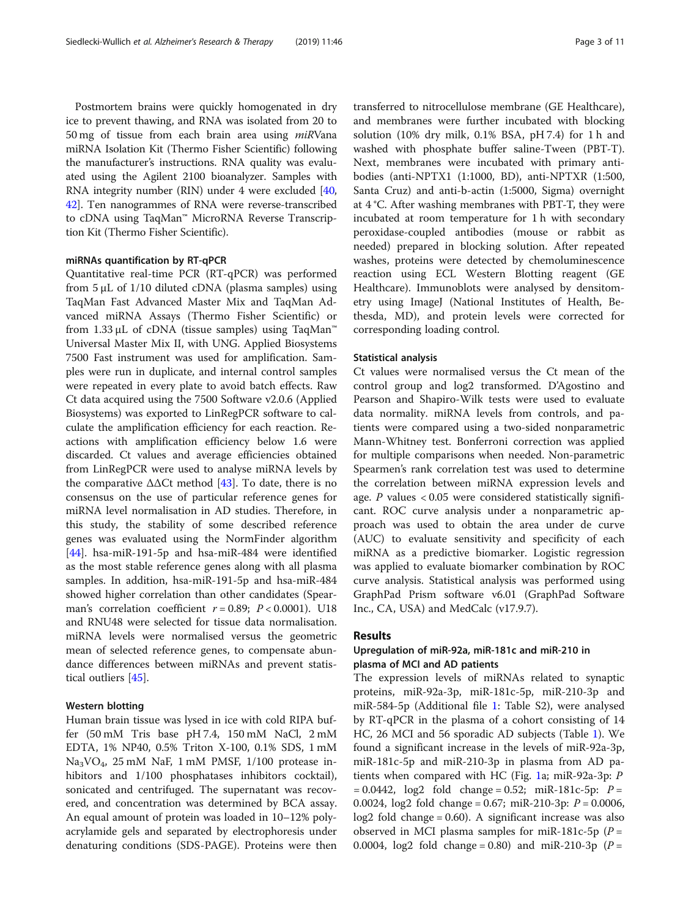Postmortem brains were quickly homogenated in dry ice to prevent thawing, and RNA was isolated from 20 to 50 mg of tissue from each brain area using miRVana miRNA Isolation Kit (Thermo Fisher Scientific) following the manufacturer's instructions. RNA quality was evaluated using the Agilent 2100 bioanalyzer. Samples with RNA integrity number (RIN) under 4 were excluded [[40](#page-9-0), [42](#page-9-0)]. Ten nanogrammes of RNA were reverse-transcribed to cDNA using TaqMan™ MicroRNA Reverse Transcription Kit (Thermo Fisher Scientific).

#### miRNAs quantification by RT-qPCR

Quantitative real-time PCR (RT-qPCR) was performed from 5 μL of 1/10 diluted cDNA (plasma samples) using TaqMan Fast Advanced Master Mix and TaqMan Advanced miRNA Assays (Thermo Fisher Scientific) or from 1.33 μL of cDNA (tissue samples) using TaqMan<sup>™</sup> Universal Master Mix II, with UNG. Applied Biosystems 7500 Fast instrument was used for amplification. Samples were run in duplicate, and internal control samples were repeated in every plate to avoid batch effects. Raw Ct data acquired using the 7500 Software v2.0.6 (Applied Biosystems) was exported to LinRegPCR software to calculate the amplification efficiency for each reaction. Reactions with amplification efficiency below 1.6 were discarded. Ct values and average efficiencies obtained from LinRegPCR were used to analyse miRNA levels by the comparative  $\Delta\Delta$ Ct method [\[43](#page-9-0)]. To date, there is no consensus on the use of particular reference genes for miRNA level normalisation in AD studies. Therefore, in this study, the stability of some described reference genes was evaluated using the NormFinder algorithm [[44\]](#page-10-0). hsa-miR-191-5p and hsa-miR-484 were identified as the most stable reference genes along with all plasma samples. In addition, hsa-miR-191-5p and hsa-miR-484 showed higher correlation than other candidates (Spearman's correlation coefficient  $r = 0.89$ ;  $P < 0.0001$ ). U18 and RNU48 were selected for tissue data normalisation. miRNA levels were normalised versus the geometric mean of selected reference genes, to compensate abundance differences between miRNAs and prevent statistical outliers [\[45](#page-10-0)].

## Western blotting

Human brain tissue was lysed in ice with cold RIPA buffer (50 mM Tris base pH 7.4, 150 mM NaCl, 2 mM EDTA, 1% NP40, 0.5% Triton X-100, 0.1% SDS, 1 mM Na3VO4, 25 mM NaF, 1 mM PMSF, 1/100 protease inhibitors and  $1/100$  phosphatases inhibitors cocktail), sonicated and centrifuged. The supernatant was recovered, and concentration was determined by BCA assay. An equal amount of protein was loaded in 10–12% polyacrylamide gels and separated by electrophoresis under denaturing conditions (SDS-PAGE). Proteins were then

transferred to nitrocellulose membrane (GE Healthcare), and membranes were further incubated with blocking solution (10% dry milk, 0.1% BSA, pH 7.4) for 1 h and washed with phosphate buffer saline-Tween (PBT-T). Next, membranes were incubated with primary antibodies (anti-NPTX1 (1:1000, BD), anti-NPTXR (1:500, Santa Cruz) and anti-b-actin (1:5000, Sigma) overnight at 4 °C. After washing membranes with PBT-T, they were incubated at room temperature for 1 h with secondary peroxidase-coupled antibodies (mouse or rabbit as needed) prepared in blocking solution. After repeated washes, proteins were detected by chemoluminescence reaction using ECL Western Blotting reagent (GE Healthcare). Immunoblots were analysed by densitometry using ImageJ (National Institutes of Health, Bethesda, MD), and protein levels were corrected for corresponding loading control.

# Statistical analysis

Ct values were normalised versus the Ct mean of the control group and log2 transformed. D'Agostino and Pearson and Shapiro-Wilk tests were used to evaluate data normality. miRNA levels from controls, and patients were compared using a two-sided nonparametric Mann-Whitney test. Bonferroni correction was applied for multiple comparisons when needed. Non-parametric Spearmen's rank correlation test was used to determine the correlation between miRNA expression levels and age.  $P$  values < 0.05 were considered statistically significant. ROC curve analysis under a nonparametric approach was used to obtain the area under de curve (AUC) to evaluate sensitivity and specificity of each miRNA as a predictive biomarker. Logistic regression was applied to evaluate biomarker combination by ROC curve analysis. Statistical analysis was performed using GraphPad Prism software v6.01 (GraphPad Software Inc., CA, USA) and MedCalc (v17.9.7).

# Results

# Upregulation of miR-92a, miR-181c and miR-210 in plasma of MCI and AD patients

The expression levels of miRNAs related to synaptic proteins, miR-92a-3p, miR-181c-5p, miR-210-3p and miR-584-5p (Additional file [1](#page-8-0): Table S2), were analysed by RT-qPCR in the plasma of a cohort consisting of 14 HC, 26 MCI and 56 sporadic AD subjects (Table [1\)](#page-1-0). We found a significant increase in the levels of miR-92a-3p, miR-181c-5p and miR-210-3p in plasma from AD patients when compared with HC (Fig. [1a](#page-3-0); miR-92a-3p: P  $= 0.0442$ , log2 fold change  $= 0.52$ ; miR-181c-5p:  $P =$ 0.0024,  $log2$  fold change = 0.67; miR-210-3p:  $P = 0.0006$ , log2 fold change = 0.60). A significant increase was also observed in MCI plasma samples for miR-181c-5p ( $P =$ 0.0004,  $log2$  fold change = 0.80) and miR-210-3p ( $P =$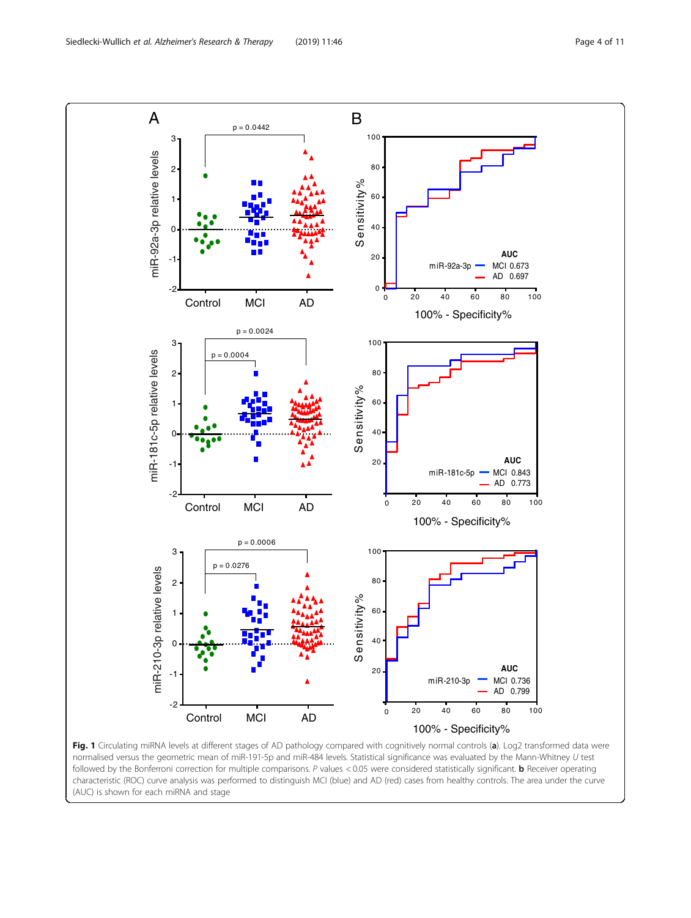<span id="page-3-0"></span>

normalised versus the geometric mean of miR-191-5p and miR-484 levels. Statistical significance was evaluated by the Mann-Whitney U test followed by the Bonferroni correction for multiple comparisons. P values < 0.05 were considered statistically significant. **b** Receiver operating characteristic (ROC) curve analysis was performed to distinguish MCI (blue) and AD (red) cases from healthy controls. The area under the curve (AUC) is shown for each miRNA and stage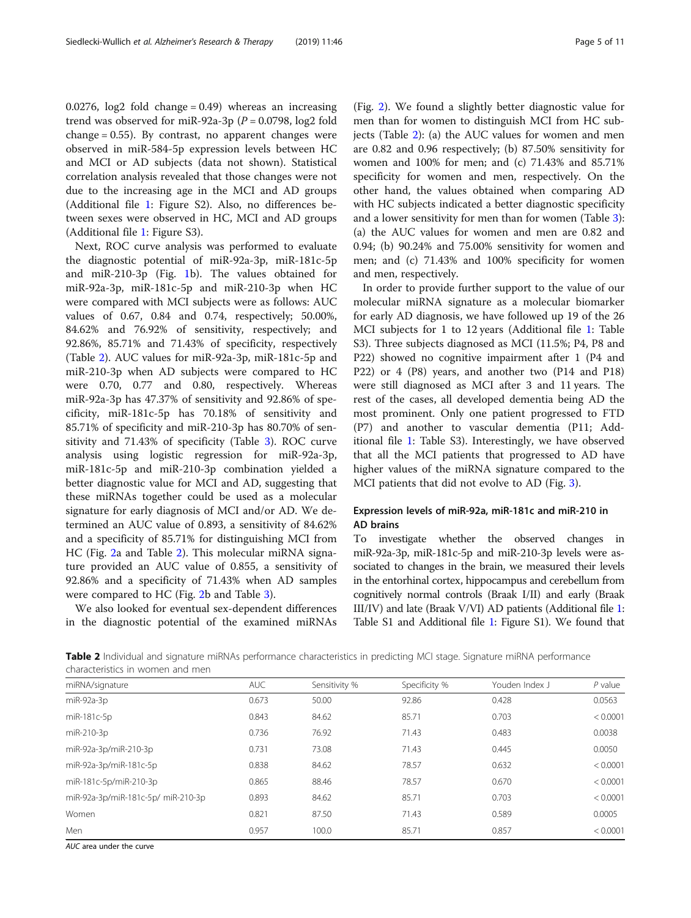0.0276,  $log2$  fold change = 0.49) whereas an increasing trend was observed for miR-92a-3p ( $P = 0.0798$ , log2 fold change  $= 0.55$ ). By contrast, no apparent changes were observed in miR-584-5p expression levels between HC and MCI or AD subjects (data not shown). Statistical correlation analysis revealed that those changes were not due to the increasing age in the MCI and AD groups (Additional file [1](#page-8-0): Figure S2). Also, no differences between sexes were observed in HC, MCI and AD groups (Additional file [1](#page-8-0): Figure S3).

Next, ROC curve analysis was performed to evaluate the diagnostic potential of miR-92a-3p, miR-181c-5p and miR-210-3p (Fig. [1b](#page-3-0)). The values obtained for miR-92a-3p, miR-181c-5p and miR-210-3p when HC were compared with MCI subjects were as follows: AUC values of 0.67, 0.84 and 0.74, respectively; 50.00%, 84.62% and 76.92% of sensitivity, respectively; and 92.86%, 85.71% and 71.43% of specificity, respectively (Table 2). AUC values for miR-92a-3p, miR-181c-5p and miR-210-3p when AD subjects were compared to HC were 0.70, 0.77 and 0.80, respectively. Whereas miR-92a-3p has 47.37% of sensitivity and 92.86% of specificity, miR-181c-5p has 70.18% of sensitivity and 85.71% of specificity and miR-210-3p has 80.70% of sensitivity and 71.43% of specificity (Table [3](#page-5-0)). ROC curve analysis using logistic regression for miR-92a-3p, miR-181c-5p and miR-210-3p combination yielded a better diagnostic value for MCI and AD, suggesting that these miRNAs together could be used as a molecular signature for early diagnosis of MCI and/or AD. We determined an AUC value of 0.893, a sensitivity of 84.62% and a specificity of 85.71% for distinguishing MCI from HC (Fig. [2](#page-6-0)a and Table 2). This molecular miRNA signature provided an AUC value of 0.855, a sensitivity of 92.86% and a specificity of 71.43% when AD samples were compared to HC (Fig. [2b](#page-6-0) and Table [3](#page-5-0)).

We also looked for eventual sex-dependent differences in the diagnostic potential of the examined miRNAs

(Fig. [2](#page-6-0)). We found a slightly better diagnostic value for men than for women to distinguish MCI from HC subjects (Table 2): (a) the AUC values for women and men are 0.82 and 0.96 respectively; (b) 87.50% sensitivity for women and 100% for men; and (c) 71.43% and 85.71% specificity for women and men, respectively. On the other hand, the values obtained when comparing AD with HC subjects indicated a better diagnostic specificity and a lower sensitivity for men than for women (Table [3](#page-5-0)): (a) the AUC values for women and men are 0.82 and 0.94; (b) 90.24% and 75.00% sensitivity for women and men; and (c) 71.43% and 100% specificity for women and men, respectively.

In order to provide further support to the value of our molecular miRNA signature as a molecular biomarker for early AD diagnosis, we have followed up 19 of the 26 MCI subjects for 1 to 12 years (Additional file [1](#page-8-0): Table S3). Three subjects diagnosed as MCI (11.5%; P4, P8 and P22) showed no cognitive impairment after 1 (P4 and P22) or 4 (P8) years, and another two (P14 and P18) were still diagnosed as MCI after 3 and 11 years. The rest of the cases, all developed dementia being AD the most prominent. Only one patient progressed to FTD (P7) and another to vascular dementia (P11; Additional file [1:](#page-8-0) Table S3). Interestingly, we have observed that all the MCI patients that progressed to AD have higher values of the miRNA signature compared to the MCI patients that did not evolve to AD (Fig. [3\)](#page-7-0).

# Expression levels of miR-92a, miR-181c and miR-210 in AD brains

To investigate whether the observed changes in miR-92a-3p, miR-181c-5p and miR-210-3p levels were associated to changes in the brain, we measured their levels in the entorhinal cortex, hippocampus and cerebellum from cognitively normal controls (Braak I/II) and early (Braak III/IV) and late (Braak V/VI) AD patients (Additional file [1](#page-8-0): Table S1 and Additional file [1](#page-8-0): Figure S1). We found that

Table 2 Individual and signature miRNAs performance characteristics in predicting MCI stage. Signature miRNA performance characteristics in women and men

| miRNA/signature                    | <b>AUC</b> | Sensitivity % | Specificity % | Youden Index J | $P$ value |
|------------------------------------|------------|---------------|---------------|----------------|-----------|
| $miR-92a-3p$                       | 0.673      | 50.00         | 92.86         | 0.428          | 0.0563    |
| miR-181c-5p                        | 0.843      | 84.62         | 85.71         | 0.703          | < 0.0001  |
| miR-210-3p                         | 0.736      | 76.92         | 71.43         | 0.483          | 0.0038    |
| miR-92a-3p/miR-210-3p              | 0.731      | 73.08         | 71.43         | 0.445          | 0.0050    |
| miR-92a-3p/miR-181c-5p             | 0.838      | 84.62         | 78.57         | 0.632          | < 0.0001  |
| miR-181c-5p/miR-210-3p             | 0.865      | 88.46         | 78.57         | 0.670          | < 0.0001  |
| miR-92a-3p/miR-181c-5p/ miR-210-3p | 0.893      | 84.62         | 85.71         | 0.703          | < 0.0001  |
| Women                              | 0.821      | 87.50         | 71.43         | 0.589          | 0.0005    |
| Men                                | 0.957      | 100.0         | 85.71         | 0.857          | < 0.0001  |
|                                    |            |               |               |                |           |

AUC area under the curve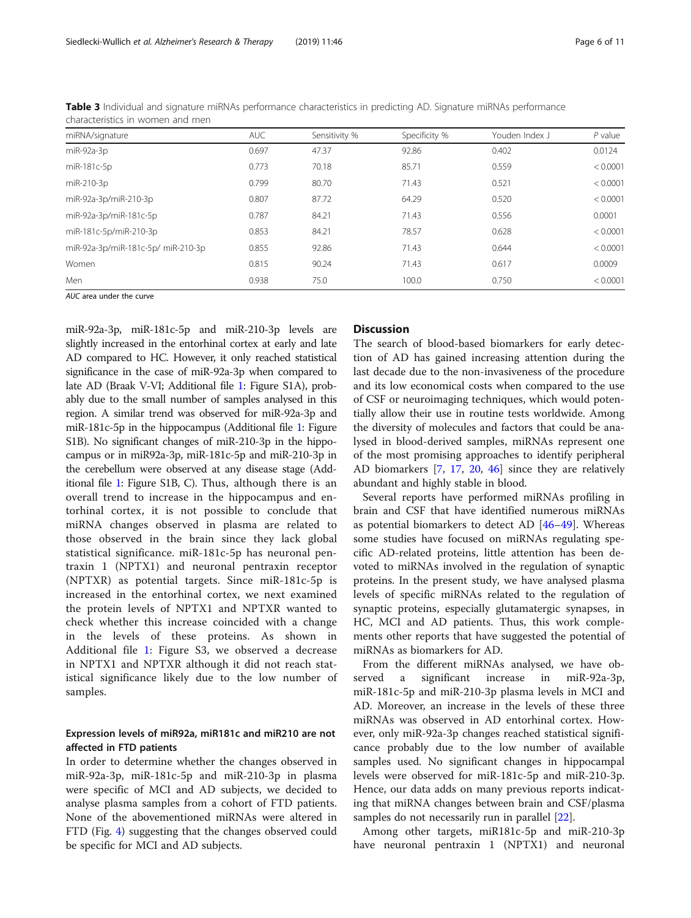| miRNA/signature                    | <b>AUC</b> | Sensitivity % | Specificity % | Youden Index J | $P$ value |
|------------------------------------|------------|---------------|---------------|----------------|-----------|
| miR-92a-3p                         | 0.697      | 47.37         | 92.86         | 0.402          | 0.0124    |
| miR-181c-5p                        | 0.773      | 70.18         | 85.71         | 0.559          | < 0.0001  |
| miR-210-3p                         | 0.799      | 80.70         | 71.43         | 0.521          | < 0.0001  |
| miR-92a-3p/miR-210-3p              | 0.807      | 87.72         | 64.29         | 0.520          | < 0.0001  |
| miR-92a-3p/miR-181c-5p             | 0.787      | 84.21         | 71.43         | 0.556          | 0.0001    |
| miR-181c-5p/miR-210-3p             | 0.853      | 84.21         | 78.57         | 0.628          | < 0.0001  |
| miR-92a-3p/miR-181c-5p/ miR-210-3p | 0.855      | 92.86         | 71.43         | 0.644          | < 0.0001  |
| Women                              | 0.815      | 90.24         | 71.43         | 0.617          | 0.0009    |
| Men                                | 0.938      | 75.0          | 100.0         | 0.750          | < 0.0001  |

<span id="page-5-0"></span>Table 3 Individual and signature miRNAs performance characteristics in predicting AD. Signature miRNAs performance characteristics in women and men

AUC area under the curve

miR-92a-3p, miR-181c-5p and miR-210-3p levels are slightly increased in the entorhinal cortex at early and late AD compared to HC. However, it only reached statistical significance in the case of miR-92a-3p when compared to late AD (Braak V-VI; Additional file [1:](#page-8-0) Figure S1A), probably due to the small number of samples analysed in this region. A similar trend was observed for miR-92a-3p and miR-181c-5p in the hippocampus (Additional file [1](#page-8-0): Figure S1B). No significant changes of miR-210-3p in the hippocampus or in miR92a-3p, miR-181c-5p and miR-210-3p in the cerebellum were observed at any disease stage (Additional file [1](#page-8-0): Figure S1B, C). Thus, although there is an overall trend to increase in the hippocampus and entorhinal cortex, it is not possible to conclude that miRNA changes observed in plasma are related to those observed in the brain since they lack global statistical significance. miR-181c-5p has neuronal pentraxin 1 (NPTX1) and neuronal pentraxin receptor (NPTXR) as potential targets. Since miR-181c-5p is increased in the entorhinal cortex, we next examined the protein levels of NPTX1 and NPTXR wanted to check whether this increase coincided with a change in the levels of these proteins. As shown in Additional file [1](#page-8-0): Figure S3, we observed a decrease in NPTX1 and NPTXR although it did not reach statistical significance likely due to the low number of samples.

# Expression levels of miR92a, miR181c and miR210 are not affected in FTD patients

In order to determine whether the changes observed in miR-92a-3p, miR-181c-5p and miR-210-3p in plasma were specific of MCI and AD subjects, we decided to analyse plasma samples from a cohort of FTD patients. None of the abovementioned miRNAs were altered in FTD (Fig. [4\)](#page-7-0) suggesting that the changes observed could be specific for MCI and AD subjects.

# **Discussion**

The search of blood-based biomarkers for early detection of AD has gained increasing attention during the last decade due to the non-invasiveness of the procedure and its low economical costs when compared to the use of CSF or neuroimaging techniques, which would potentially allow their use in routine tests worldwide. Among the diversity of molecules and factors that could be analysed in blood-derived samples, miRNAs represent one of the most promising approaches to identify peripheral AD biomarkers [[7,](#page-9-0) [17,](#page-9-0) [20](#page-9-0), [46\]](#page-10-0) since they are relatively abundant and highly stable in blood.

Several reports have performed miRNAs profiling in brain and CSF that have identified numerous miRNAs as potential biomarkers to detect AD [[46](#page-10-0)–[49\]](#page-10-0). Whereas some studies have focused on miRNAs regulating specific AD-related proteins, little attention has been devoted to miRNAs involved in the regulation of synaptic proteins. In the present study, we have analysed plasma levels of specific miRNAs related to the regulation of synaptic proteins, especially glutamatergic synapses, in HC, MCI and AD patients. Thus, this work complements other reports that have suggested the potential of miRNAs as biomarkers for AD.

From the different miRNAs analysed, we have observed a significant increase in miR-92a-3p, miR-181c-5p and miR-210-3p plasma levels in MCI and AD. Moreover, an increase in the levels of these three miRNAs was observed in AD entorhinal cortex. However, only miR-92a-3p changes reached statistical significance probably due to the low number of available samples used. No significant changes in hippocampal levels were observed for miR-181c-5p and miR-210-3p. Hence, our data adds on many previous reports indicating that miRNA changes between brain and CSF/plasma samples do not necessarily run in parallel [[22\]](#page-9-0).

Among other targets, miR181c-5p and miR-210-3p have neuronal pentraxin 1 (NPTX1) and neuronal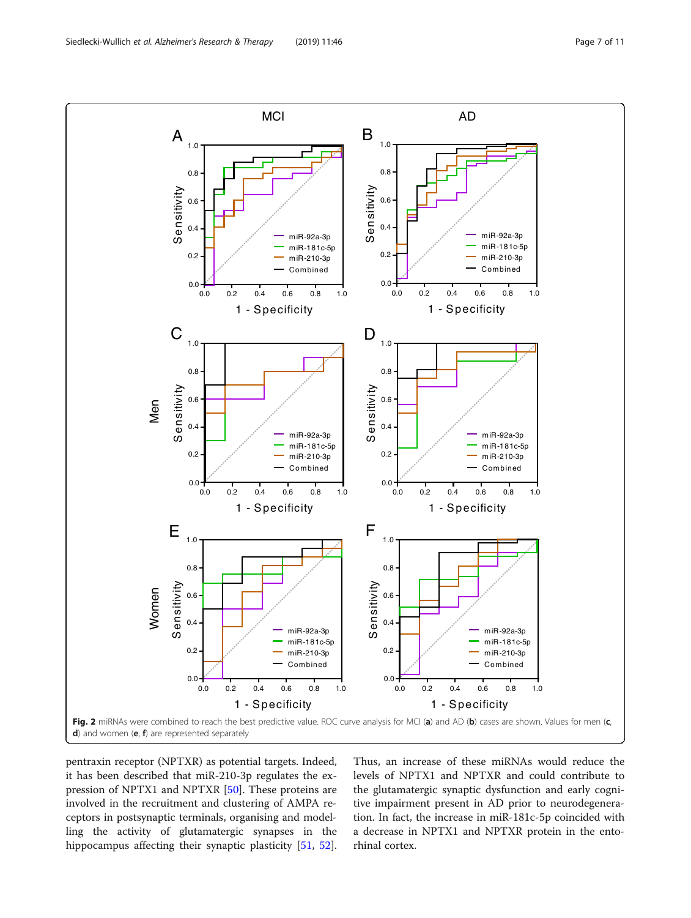<span id="page-6-0"></span>

pentraxin receptor (NPTXR) as potential targets. Indeed, it has been described that miR-210-3p regulates the expression of NPTX1 and NPTXR [[50\]](#page-10-0). These proteins are involved in the recruitment and clustering of AMPA receptors in postsynaptic terminals, organising and modelling the activity of glutamatergic synapses in the hippocampus affecting their synaptic plasticity [\[51](#page-10-0), [52](#page-10-0)].

Thus, an increase of these miRNAs would reduce the levels of NPTX1 and NPTXR and could contribute to the glutamatergic synaptic dysfunction and early cognitive impairment present in AD prior to neurodegeneration. In fact, the increase in miR-181c-5p coincided with a decrease in NPTX1 and NPTXR protein in the entorhinal cortex.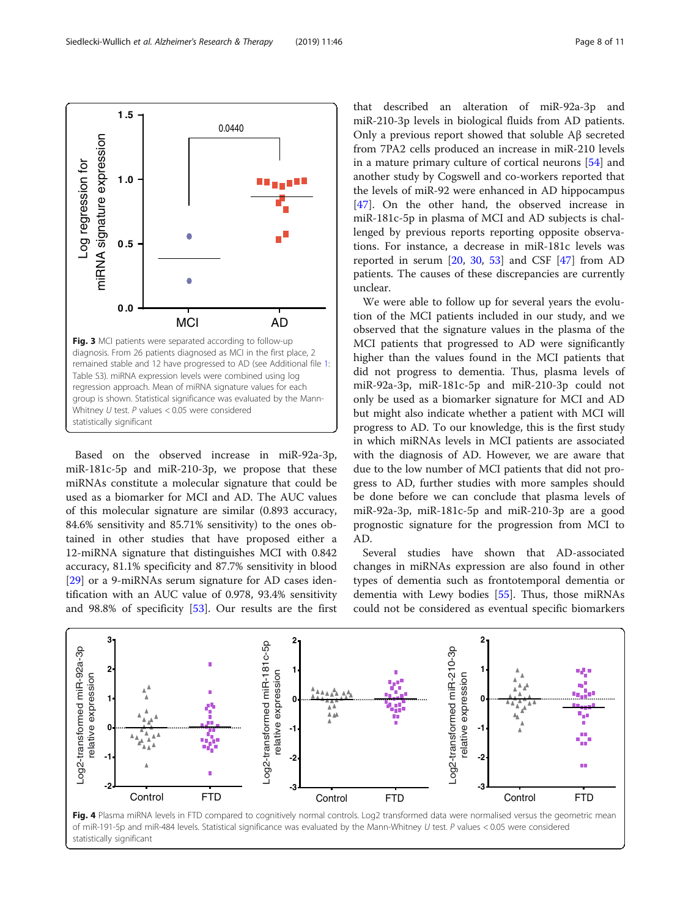Based on the observed increase in miR-92a-3p, miR-181c-5p and miR-210-3p, we propose that these miRNAs constitute a molecular signature that could be used as a biomarker for MCI and AD. The AUC values of this molecular signature are similar (0.893 accuracy, 84.6% sensitivity and 85.71% sensitivity) to the ones obtained in other studies that have proposed either a

Control FTD

**-2**

MCI AD

Fig. 3 MCI patients were separated according to follow-up diagnosis. From 26 patients diagnosed as MCI in the first place, 2 remained stable and 12 have progressed to AD (see Additional file [1](#page-8-0): Table S3). miRNA expression levels were combined using log regression approach. Mean of miRNA signature values for each group is shown. Statistical significance was evaluated by the Mann-

Ċ

Whitney  $U$  test.  $P$  values  $< 0.05$  were considered

0.0440

that described an alteration of miR-92a-3p and miR-210-3p levels in biological fluids from AD patients. Only a previous report showed that soluble Aβ secreted from 7PA2 cells produced an increase in miR-210 levels in a mature primary culture of cortical neurons [\[54](#page-10-0)] and another study by Cogswell and co-workers reported that the levels of miR-92 were enhanced in AD hippocampus [[47\]](#page-10-0). On the other hand, the observed increase in miR-181c-5p in plasma of MCI and AD subjects is challenged by previous reports reporting opposite observations. For instance, a decrease in miR-181c levels was reported in serum  $[20, 30, 53]$  $[20, 30, 53]$  $[20, 30, 53]$  $[20, 30, 53]$  $[20, 30, 53]$  and CSF  $[47]$  $[47]$  from AD patients. The causes of these discrepancies are currently unclear.

We were able to follow up for several years the evolution of the MCI patients included in our study, and we observed that the signature values in the plasma of the MCI patients that progressed to AD were significantly higher than the values found in the MCI patients that did not progress to dementia. Thus, plasma levels of miR-92a-3p, miR-181c-5p and miR-210-3p could not only be used as a biomarker signature for MCI and AD but might also indicate whether a patient with MCI will progress to AD. To our knowledge, this is the first study in which miRNAs levels in MCI patients are associated with the diagnosis of AD. However, we are aware that due to the low number of MCI patients that did not progress to AD, further studies with more samples should be done before we can conclude that plasma levels of miR-92a-3p, miR-181c-5p and miR-210-3p are a good prognostic signature for the progression from MCI to AD.

Several studies have shown that AD-associated changes in miRNAs expression are also found in other types of dementia such as frontotemporal dementia or dementia with Lewy bodies [\[55](#page-10-0)]. Thus, those miRNAs could not be considered as eventual specific biomarkers

**-3**

Control FTD



Control FTD



**-3**

Log regression for miRNA signature expression

<span id="page-7-0"></span>miRNA signature expression Log regression for

**0 .0**

statistically significant

**0 .5**

**1 .0**

**1 .5**

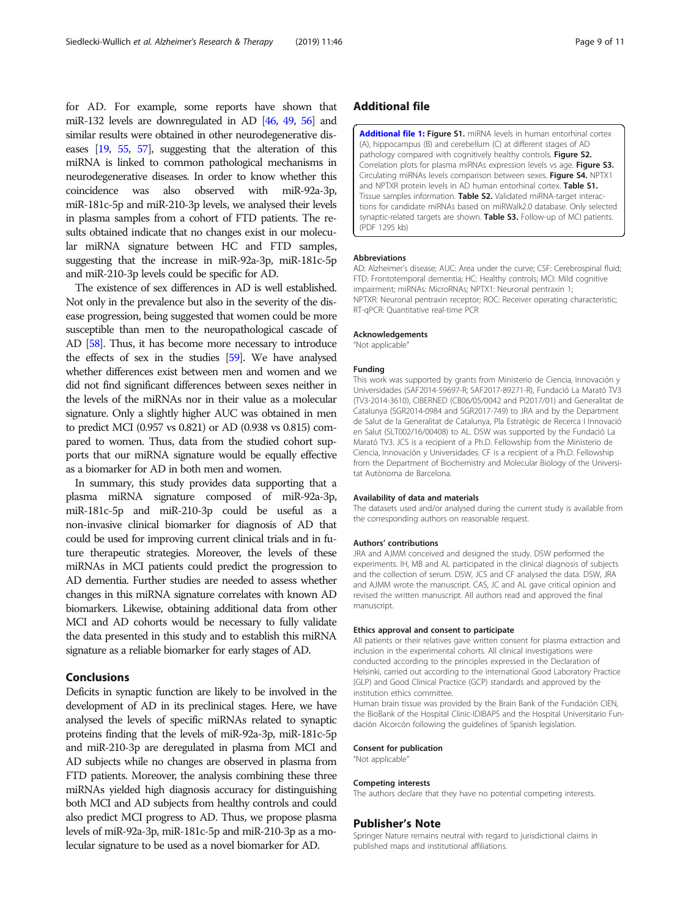<span id="page-8-0"></span>for AD. For example, some reports have shown that miR-132 levels are downregulated in AD [[46,](#page-10-0) [49](#page-10-0), [56\]](#page-10-0) and similar results were obtained in other neurodegenerative diseases [[19,](#page-9-0) [55,](#page-10-0) [57\]](#page-10-0), suggesting that the alteration of this miRNA is linked to common pathological mechanisms in neurodegenerative diseases. In order to know whether this coincidence was also observed with miR-92a-3p, miR-181c-5p and miR-210-3p levels, we analysed their levels in plasma samples from a cohort of FTD patients. The results obtained indicate that no changes exist in our molecular miRNA signature between HC and FTD samples, suggesting that the increase in miR-92a-3p, miR-181c-5p and miR-210-3p levels could be specific for AD.

The existence of sex differences in AD is well established. Not only in the prevalence but also in the severity of the disease progression, being suggested that women could be more susceptible than men to the neuropathological cascade of AD [\[58\]](#page-10-0). Thus, it has become more necessary to introduce the effects of sex in the studies [\[59\]](#page-10-0). We have analysed whether differences exist between men and women and we did not find significant differences between sexes neither in the levels of the miRNAs nor in their value as a molecular signature. Only a slightly higher AUC was obtained in men to predict MCI (0.957 vs 0.821) or AD (0.938 vs 0.815) compared to women. Thus, data from the studied cohort supports that our miRNA signature would be equally effective as a biomarker for AD in both men and women.

In summary, this study provides data supporting that a plasma miRNA signature composed of miR-92a-3p, miR-181c-5p and miR-210-3p could be useful as a non-invasive clinical biomarker for diagnosis of AD that could be used for improving current clinical trials and in future therapeutic strategies. Moreover, the levels of these miRNAs in MCI patients could predict the progression to AD dementia. Further studies are needed to assess whether changes in this miRNA signature correlates with known AD biomarkers. Likewise, obtaining additional data from other MCI and AD cohorts would be necessary to fully validate the data presented in this study and to establish this miRNA signature as a reliable biomarker for early stages of AD.

# Conclusions

Deficits in synaptic function are likely to be involved in the development of AD in its preclinical stages. Here, we have analysed the levels of specific miRNAs related to synaptic proteins finding that the levels of miR-92a-3p, miR-181c-5p and miR-210-3p are deregulated in plasma from MCI and AD subjects while no changes are observed in plasma from FTD patients. Moreover, the analysis combining these three miRNAs yielded high diagnosis accuracy for distinguishing both MCI and AD subjects from healthy controls and could also predict MCI progress to AD. Thus, we propose plasma levels of miR-92a-3p, miR-181c-5p and miR-210-3p as a molecular signature to be used as a novel biomarker for AD.

# Additional file

[Additional file 1:](https://doi.org/10.1186/s13195-019-0501-4) Figure S1. miRNA levels in human entorhinal cortex (A), hippocampus (B) and cerebellum (C) at different stages of AD pathology compared with cognitively healthy controls. Figure S2. Correlation plots for plasma miRNAs expression levels vs age. Figure S3. Circulating miRNAs levels comparison between sexes. Figure S4. NPTX1 and NPTXR protein levels in AD human entorhinal cortex. Table S1. Tissue samples information. Table S2. Validated miRNA-target interactions for candidate miRNAs based on miRWalk2.0 database. Only selected synaptic-related targets are shown. Table S3. Follow-up of MCI patients. (PDF 1295 kb)

#### Abbreviations

AD: Alzheimer's disease; AUC: Area under the curve; CSF: Cerebrospinal fluid; FTD: Frontotemporal dementia; HC: Healthy controls; MCI: Mild cognitive impairment; miRNAs: MicroRNAs; NPTX1: Neuronal pentraxin 1; NPTXR: Neuronal pentraxin receptor; ROC: Receiver operating characteristic; RT-qPCR: Quantitative real-time PCR

#### Acknowledgements

"Not applicable"

#### Funding

This work was supported by grants from Ministerio de Ciencia, Innovación y Universidades (SAF2014-59697-R; SAF2017-89271-R), Fundació La Marató TV3 (TV3-2014-3610), CIBERNED (CB06/05/0042 and PI2017/01) and Generalitat de Catalunya (SGR2014-0984 and SGR2017-749) to JRA and by the Department de Salut de la Generalitat de Catalunya, Pla Estratègic de Recerca I Innovació en Salut (SLT002/16/00408) to AL. DSW was supported by the Fundació La Marató TV3. JCS is a recipient of a Ph.D. Fellowship from the Ministerio de Ciencia, Innovación y Universidades. CF is a recipient of a Ph.D. Fellowship from the Department of Biochemistry and Molecular Biology of the Universitat Autònoma de Barcelona.

#### Availability of data and materials

The datasets used and/or analysed during the current study is available from the corresponding authors on reasonable request.

#### Authors' contributions

JRA and AJMM conceived and designed the study. DSW performed the experiments. IH, MB and AL participated in the clinical diagnosis of subjects and the collection of serum. DSW, JCS and CF analysed the data. DSW, JRA and AJMM wrote the manuscript. CAS, JC and AL gave critical opinion and revised the written manuscript. All authors read and approved the final manuscript.

#### Ethics approval and consent to participate

All patients or their relatives gave written consent for plasma extraction and inclusion in the experimental cohorts. All clinical investigations were conducted according to the principles expressed in the Declaration of Helsinki, carried out according to the international Good Laboratory Practice (GLP) and Good Clinical Practice (GCP) standards and approved by the institution ethics committee.

Human brain tissue was provided by the Brain Bank of the Fundación CIEN, the BioBank of the Hospital Clinic-IDIBAPS and the Hospital Universitario Fundación Alcorcón following the guidelines of Spanish legislation.

#### Consent for publication

"Not applicable"

#### Competing interests

The authors declare that they have no potential competing interests.

#### Publisher's Note

Springer Nature remains neutral with regard to jurisdictional claims in published maps and institutional affiliations.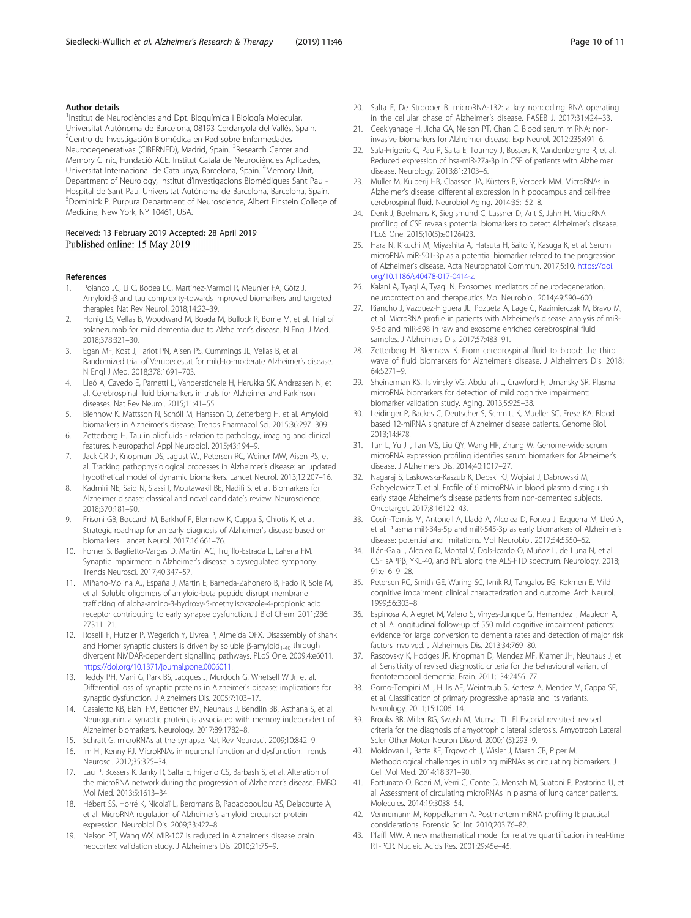# <span id="page-9-0"></span>Author details

<sup>1</sup>Institut de Neurociències and Dpt. Bioquímica i Biología Molecular, Universitat Autònoma de Barcelona, 08193 Cerdanyola del Vallès, Spain. <sup>2</sup>Centro de Investigación Biomédica en Red sobre Enfermedades Neurodegenerativas (CIBERNED), Madrid, Spain. <sup>3</sup>Research Center and Memory Clinic, Fundació ACE, Institut Català de Neurociències Aplicades, Universitat Internacional de Catalunya, Barcelona, Spain. <sup>4</sup>Memory Unit, Department of Neurology, Institut d'Investigacions Biomèdiques Sant Pau - Hospital de Sant Pau, Universitat Autònoma de Barcelona, Barcelona, Spain. 5 Dominick P. Purpura Department of Neuroscience, Albert Einstein College of Medicine, New York, NY 10461, USA.

## Received: 13 February 2019 Accepted: 28 April 2019 Published online: 15 May 2019

#### References

- 1. Polanco JC, Li C, Bodea LG, Martinez-Marmol R, Meunier FA, Götz J. Amyloid-β and tau complexity-towards improved biomarkers and targeted therapies. Nat Rev Neurol. 2018;14:22–39.
- 2. Honig LS, Vellas B, Woodward M, Boada M, Bullock R, Borrie M, et al. Trial of solanezumab for mild dementia due to Alzheimer's disease. N Engl J Med. 2018;378:321–30.
- Egan MF, Kost J, Tariot PN, Aisen PS, Cummings JL, Vellas B, et al. Randomized trial of Verubecestat for mild-to-moderate Alzheimer's disease. N Engl J Med. 2018;378:1691–703.
- 4. Lleó A, Cavedo E, Parnetti L, Vanderstichele H, Herukka SK, Andreasen N, et al. Cerebrospinal fluid biomarkers in trials for Alzheimer and Parkinson diseases. Nat Rev Neurol. 2015;11:41–55.
- 5. Blennow K, Mattsson N, Schöll M, Hansson O, Zetterberg H, et al. Amyloid biomarkers in Alzheimer's disease. Trends Pharmacol Sci. 2015;36:297–309.
- 6. Zetterberg H. Tau in bliofluids relation to pathology, imaging and clinical features. Neuropathol Appl Neurobiol. 2015;43:194–9.
- 7. Jack CR Jr, Knopman DS, Jagust WJ, Petersen RC, Weiner MW, Aisen PS, et al. Tracking pathophysiological processes in Alzheimer's disease: an updated hypothetical model of dynamic biomarkers. Lancet Neurol. 2013;12:207–16.
- 8. Kadmiri NE, Said N, Slassi I, Moutawakil BE, Nadifi S, et al. Biomarkers for Alzheimer disease: classical and novel candidate's review. Neuroscience. 2018;370:181–90.
- Frisoni GB, Boccardi M, Barkhof F, Blennow K, Cappa S, Chiotis K, et al. Strategic roadmap for an early diagnosis of Alzheimer's disease based on biomarkers. Lancet Neurol. 2017;16:661–76.
- 10. Forner S, Baglietto-Vargas D, Martini AC, Trujillo-Estrada L, LaFerla FM. Synaptic impairment in Alzheimer's disease: a dysregulated symphony. Trends Neurosci. 2017;40:347–57.
- 11. Miñano-Molina AJ, España J, Martin E, Barneda-Zahonero B, Fado R, Sole M, et al. Soluble oligomers of amyloid-beta peptide disrupt membrane trafficking of alpha-amino-3-hydroxy-5-methylisoxazole-4-propionic acid receptor contributing to early synapse dysfunction. J Biol Chem. 2011;286: 27311–21.
- 12. Roselli F, Hutzler P, Wegerich Y, Livrea P, Almeida OFX. Disassembly of shank and Homer synaptic clusters is driven by soluble β-amyloid<sub>1-40</sub> through divergent NMDAR-dependent signalling pathways. PLoS One. 2009;4:e6011. [https://doi.org/10.1371/journal.pone.0006011.](https://doi.org/10.1371/journal.pone.0006011)
- 13. Reddy PH, Mani G, Park BS, Jacques J, Murdoch G, Whetsell W Jr, et al. Differential loss of synaptic proteins in Alzheimer's disease: implications for synaptic dysfunction. J Alzheimers Dis. 2005;7:103–17.
- 14. Casaletto KB, Elahi FM, Bettcher BM, Neuhaus J, Bendlin BB, Asthana S, et al. Neurogranin, a synaptic protein, is associated with memory independent of Alzheimer biomarkers. Neurology. 2017;89:1782–8.
- 15. Schratt G. microRNAs at the synapse. Nat Rev Neurosci. 2009;10:842–9.
- 16. Im HI, Kenny PJ. MicroRNAs in neuronal function and dysfunction. Trends Neurosci. 2012;35:325–34.
- 17. Lau P, Bossers K, Janky R, Salta E, Frigerio CS, Barbash S, et al. Alteration of the microRNA network during the progression of Alzheimer's disease. EMBO Mol Med. 2013;5:1613–34.
- 18. Hébert SS, Horré K, Nicolaï L, Bergmans B, Papadopoulou AS, Delacourte A, et al. MicroRNA regulation of Alzheimer's amyloid precursor protein expression. Neurobiol Dis. 2009;33:422–8.
- 19. Nelson PT, Wang WX. MiR-107 is reduced in Alzheimer's disease brain neocortex: validation study. J Alzheimers Dis. 2010;21:75–9.
- 20. Salta E, De Strooper B. microRNA-132: a key noncoding RNA operating in the cellular phase of Alzheimer's disease. FASEB J. 2017;31:424–33.
- 21. Geekiyanage H, Jicha GA, Nelson PT, Chan C. Blood serum miRNA: noninvasive biomarkers for Alzheimer disease. Exp Neurol. 2012;235:491–6.
- 22. Sala-Frigerio C, Pau P, Salta E, Tournoy J, Bossers K, Vandenberghe R, et al. Reduced expression of hsa-miR-27a-3p in CSF of patients with Alzheimer disease. Neurology. 2013;81:2103–6.
- 23. Müller M, Kuiperij HB, Claassen JA, Küsters B, Verbeek MM. MicroRNAs in Alzheimer's disease: differential expression in hippocampus and cell-free cerebrospinal fluid. Neurobiol Aging. 2014;35:152–8.
- 24. Denk J, Boelmans K, Siegismund C, Lassner D, Arlt S, Jahn H. MicroRNA profiling of CSF reveals potential biomarkers to detect Alzheimer's disease. PLoS One. 2015;10(5):e0126423.
- 25. Hara N, Kikuchi M, Miyashita A, Hatsuta H, Saito Y, Kasuga K, et al. Serum microRNA miR-501-3p as a potential biomarker related to the progression of Alzheimer's disease. Acta Neurophatol Commun. 2017;5:10. [https://doi.](https://doi.org/10.1186/s40478-017-0414-z) [org/10.1186/s40478-017-0414-z.](https://doi.org/10.1186/s40478-017-0414-z)
- 26. Kalani A, Tyagi A, Tyagi N. Exosomes: mediators of neurodegeneration, neuroprotection and therapeutics. Mol Neurobiol. 2014;49:590–600.
- 27. Riancho J, Vazquez-Higuera JL, Pozueta A, Lage C, Kazimierczak M, Bravo M, et al. MicroRNA profile in patients with Alzheimer's disease: analysis of miR-9-5p and miR-598 in raw and exosome enriched cerebrospinal fluid samples. J Alzheimers Dis. 2017;57:483–91.
- 28. Zetterberg H, Blennow K. From cerebrospinal fluid to blood: the third wave of fluid biomarkers for Alzheimer's disease. J Alzheimers Dis. 2018; 64:S271–9.
- 29. Sheinerman KS, Tsivinsky VG, Abdullah L, Crawford F, Umansky SR. Plasma microRNA biomarkers for detection of mild cognitive impairment: biomarker validation study. Aging. 2013;5:925–38.
- 30. Leidinger P, Backes C, Deutscher S, Schmitt K, Mueller SC, Frese KA. Blood based 12-miRNA signature of Alzheimer disease patients. Genome Biol. 2013;14:R78.
- 31. Tan L, Yu JT, Tan MS, Liu QY, Wang HF, Zhang W. Genome-wide serum microRNA expression profiling identifies serum biomarkers for Alzheimer's disease. J Alzheimers Dis. 2014;40:1017–27.
- 32. Nagaraj S, Laskowska-Kaszub K, Debski KJ, Wojsiat J, Dabrowski M, Gabryelewicz T, et al. Profile of 6 microRNA in blood plasma distinguish early stage Alzheimer's disease patients from non-demented subjects. Oncotarget. 2017;8:16122–43.
- 33. Cosín-Tomás M, Antonell A, Lladó A, Alcolea D, Fortea J, Ezquerra M, Lleó A, et al. Plasma miR-34a-5p and miR-545-3p as early biomarkers of Alzheimer's disease: potential and limitations. Mol Neurobiol. 2017;54:5550–62.
- Illán-Gala I, Alcolea D, Montal V, Dols-Icardo O, Muñoz L, de Luna N, et al. CSF sAPPβ, YKL-40, and NfL along the ALS-FTD spectrum. Neurology. 2018; 91:e1619–28.
- 35. Petersen RC, Smith GE, Waring SC, Ivnik RJ, Tangalos EG, Kokmen E. Mild cognitive impairment: clinical characterization and outcome. Arch Neurol. 1999;56:303–8.
- 36. Espinosa A, Alegret M, Valero S, Vinyes-Junque G, Hernandez I, Mauleon A, et al. A longitudinal follow-up of 550 mild cognitive impairment patients: evidence for large conversion to dementia rates and detection of major risk factors involved. J Alzheimers Dis. 2013;34:769–80.
- 37. Rascovsky K, Hodges JR, Knopman D, Mendez MF, Kramer JH, Neuhaus J, et al. Sensitivity of revised diagnostic criteria for the behavioural variant of frontotemporal dementia. Brain. 2011;134:2456–77.
- 38. Gorno-Tempini ML, Hillis AE, Weintraub S, Kertesz A, Mendez M, Cappa SF, et al. Classification of primary progressive aphasia and its variants. Neurology. 2011;15:1006–14.
- 39. Brooks BR, Miller RG, Swash M, Munsat TL. El Escorial revisited: revised criteria for the diagnosis of amyotrophic lateral sclerosis. Amyotroph Lateral Scler Other Motor Neuron Disord. 2000;1(5):293–9.
- 40. Moldovan L, Batte KE, Trgovcich J, Wisler J, Marsh CB, Piper M. Methodological challenges in utilizing miRNAs as circulating biomarkers. J Cell Mol Med. 2014;18:371–90.
- 41. Fortunato O, Boeri M, Verri C, Conte D, Mensah M, Suatoni P, Pastorino U, et al. Assessment of circulating microRNAs in plasma of lung cancer patients. Molecules. 2014;19:3038–54.
- 42. Vennemann M, Koppelkamm A. Postmortem mRNA profiling II: practical considerations. Forensic Sci Int. 2010;203:76–82.
- 43. Pfaffl MW. A new mathematical model for relative quantification in real-time RT-PCR. Nucleic Acids Res. 2001;29:45e–45.